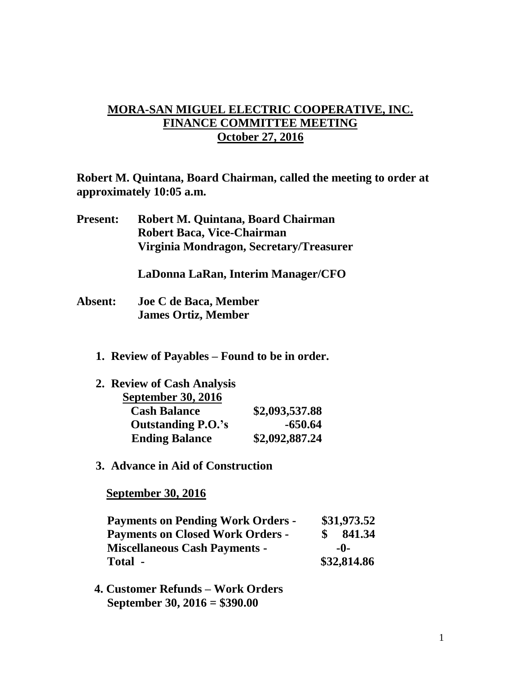## **MORA-SAN MIGUEL ELECTRIC COOPERATIVE, INC. FINANCE COMMITTEE MEETING October 27, 2016**

**Robert M. Quintana, Board Chairman, called the meeting to order at approximately 10:05 a.m.**

**Present: Robert M. Quintana, Board Chairman Robert Baca, Vice-Chairman Virginia Mondragon, Secretary/Treasurer**

**LaDonna LaRan, Interim Manager/CFO**

- **Absent: Joe C de Baca, Member James Ortiz, Member**
	- **1. Review of Payables – Found to be in order.**

| 2. Review of Cash Analysis |                |
|----------------------------|----------------|
| <b>September 30, 2016</b>  |                |
| <b>Cash Balance</b>        | \$2,093,537.88 |
| <b>Outstanding P.O.'s</b>  | $-650.64$      |
| <b>Ending Balance</b>      | \$2,092,887.24 |

**3. Advance in Aid of Construction**

 **September 30, 2016**

| <b>Payments on Pending Work Orders -</b> |             | \$31,973.52 |  |
|------------------------------------------|-------------|-------------|--|
| <b>Payments on Closed Work Orders -</b>  |             | 841.34      |  |
| <b>Miscellaneous Cash Payments -</b>     | -0-         |             |  |
| Total -                                  | \$32,814.86 |             |  |

 **4. Customer Refunds – Work Orders September 30, 2016 = \$390.00**